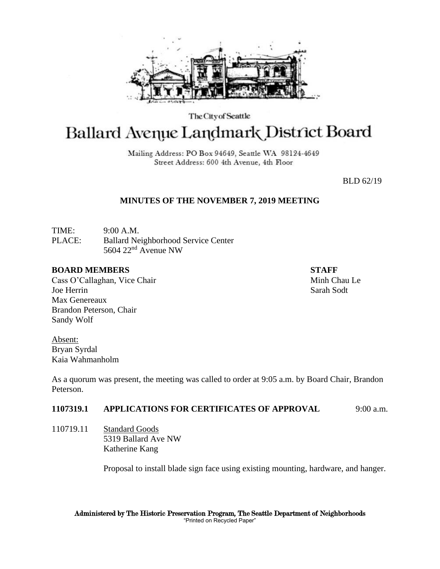

The City of Seattle

# Ballard Avenue Landmark District Board

Mailing Address: PO Box 94649, Seattle WA 98124-4649 Street Address: 600 4th Avenue, 4th Floor

BLD 62/19

# **MINUTES OF THE NOVEMBER 7, 2019 MEETING**

TIME: 9:00 A.M. PLACE: Ballard Neighborhood Service Center 5604 22nd Avenue NW

#### **BOARD MEMBERS STAFF**

Cass O'Callaghan, Vice Chair Minh Chau Le Joe Herrin Sarah Sodt Max Genereaux Brandon Peterson, Chair Sandy Wolf

Absent: Bryan Syrdal Kaia Wahmanholm

As a quorum was present, the meeting was called to order at 9:05 a.m. by Board Chair, Brandon Peterson.

# **1107319.1 APPLICATIONS FOR CERTIFICATES OF APPROVAL** 9:00 a.m.

110719.11 Standard Goods 5319 Ballard Ave NW Katherine Kang

Proposal to install blade sign face using existing mounting, hardware, and hanger.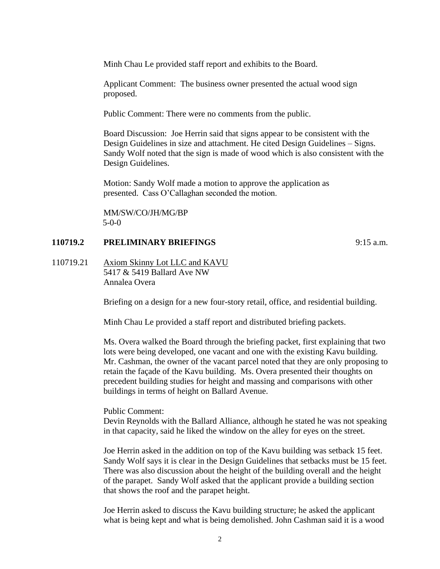Minh Chau Le provided staff report and exhibits to the Board.

Applicant Comment: The business owner presented the actual wood sign proposed.

Public Comment: There were no comments from the public.

Board Discussion: Joe Herrin said that signs appear to be consistent with the Design Guidelines in size and attachment. He cited Design Guidelines – Signs. Sandy Wolf noted that the sign is made of wood which is also consistent with the Design Guidelines.

Motion: Sandy Wolf made a motion to approve the application as presented. Cass O'Callaghan seconded the motion.

MM/SW/CO/JH/MG/BP 5-0-0

# **110719.2 PRELIMINARY BRIEFINGS** 9:15 a.m.

110719.21 Axiom Skinny Lot LLC and KAVU 5417 & 5419 Ballard Ave NW Annalea Overa

Briefing on a design for a new four-story retail, office, and residential building.

Minh Chau Le provided a staff report and distributed briefing packets.

Ms. Overa walked the Board through the briefing packet, first explaining that two lots were being developed, one vacant and one with the existing Kavu building. Mr. Cashman, the owner of the vacant parcel noted that they are only proposing to retain the façade of the Kavu building. Ms. Overa presented their thoughts on precedent building studies for height and massing and comparisons with other buildings in terms of height on Ballard Avenue.

Public Comment:

Devin Reynolds with the Ballard Alliance, although he stated he was not speaking in that capacity, said he liked the window on the alley for eyes on the street.

Joe Herrin asked in the addition on top of the Kavu building was setback 15 feet. Sandy Wolf says it is clear in the Design Guidelines that setbacks must be 15 feet. There was also discussion about the height of the building overall and the height of the parapet. Sandy Wolf asked that the applicant provide a building section that shows the roof and the parapet height.

Joe Herrin asked to discuss the Kavu building structure; he asked the applicant what is being kept and what is being demolished. John Cashman said it is a wood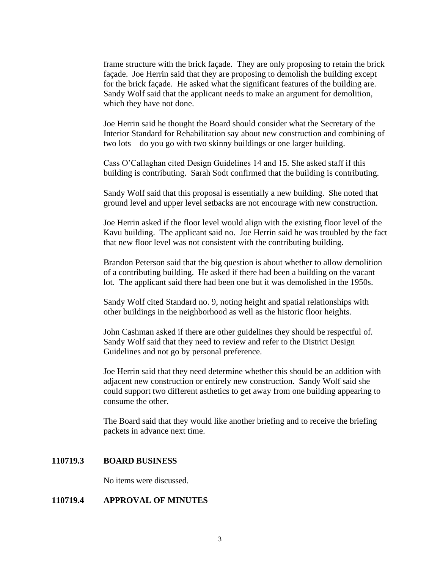frame structure with the brick façade. They are only proposing to retain the brick façade. Joe Herrin said that they are proposing to demolish the building except for the brick façade. He asked what the significant features of the building are. Sandy Wolf said that the applicant needs to make an argument for demolition, which they have not done.

Joe Herrin said he thought the Board should consider what the Secretary of the Interior Standard for Rehabilitation say about new construction and combining of two lots – do you go with two skinny buildings or one larger building.

Cass O'Callaghan cited Design Guidelines 14 and 15. She asked staff if this building is contributing. Sarah Sodt confirmed that the building is contributing.

Sandy Wolf said that this proposal is essentially a new building. She noted that ground level and upper level setbacks are not encourage with new construction.

Joe Herrin asked if the floor level would align with the existing floor level of the Kavu building. The applicant said no. Joe Herrin said he was troubled by the fact that new floor level was not consistent with the contributing building.

Brandon Peterson said that the big question is about whether to allow demolition of a contributing building. He asked if there had been a building on the vacant lot. The applicant said there had been one but it was demolished in the 1950s.

Sandy Wolf cited Standard no. 9, noting height and spatial relationships with other buildings in the neighborhood as well as the historic floor heights.

John Cashman asked if there are other guidelines they should be respectful of. Sandy Wolf said that they need to review and refer to the District Design Guidelines and not go by personal preference.

Joe Herrin said that they need determine whether this should be an addition with adjacent new construction or entirely new construction. Sandy Wolf said she could support two different asthetics to get away from one building appearing to consume the other.

The Board said that they would like another briefing and to receive the briefing packets in advance next time.

#### **110719.3 BOARD BUSINESS**

No items were discussed.

#### **110719.4 APPROVAL OF MINUTES**